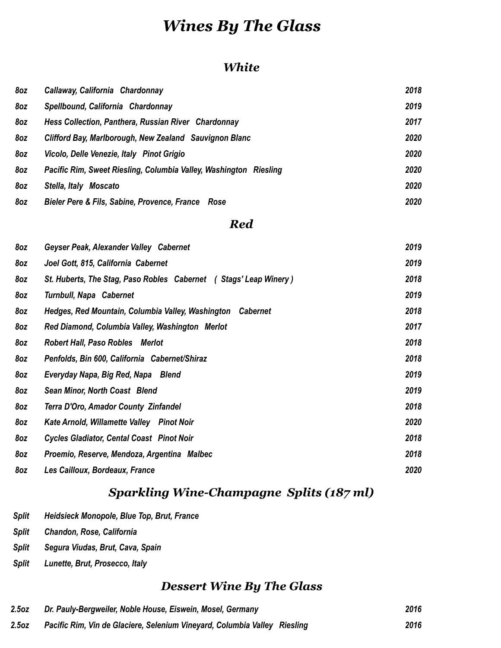## *Wines By The Glass*

#### *White*

| 8oz | Callaway, California Chardonnay                                   | 2018 |
|-----|-------------------------------------------------------------------|------|
| 8oz | Spellbound, California Chardonnay                                 | 2019 |
| 8oz | Hess Collection, Panthera, Russian River Chardonnay               | 2017 |
| 8oz | Clifford Bay, Marlborough, New Zealand Sauvignon Blanc            | 2020 |
| 8oz | Vicolo, Delle Venezie, Italy Pinot Grigio                         | 2020 |
| 8oz | Pacific Rim, Sweet Riesling, Columbia Valley, Washington Riesling | 2020 |
| 8oz | Stella, Italy<br>Moscato                                          | 2020 |
| 8oz | Bieler Pere & Fils, Sabine, Provence, France Rose                 | 2020 |

#### *Red*

| 8oz | Geyser Peak, Alexander Valley Cabernet                               | 2019 |
|-----|----------------------------------------------------------------------|------|
| 8oz | Joel Gott, 815, California Cabernet                                  | 2019 |
| 8oz | St. Huberts, The Stag, Paso Robles Cabernet (Stags' Leap Winery)     | 2018 |
| 8oz | <b>Turnbull, Napa Cabernet</b>                                       | 2019 |
| 8oz | Hedges, Red Mountain, Columbia Valley, Washington<br><b>Cabernet</b> | 2018 |
| 8oz | Red Diamond, Columbia Valley, Washington Merlot                      | 2017 |
| 8oz | <b>Robert Hall, Paso Robles Merlot</b>                               | 2018 |
| 8oz | Penfolds, Bin 600, California Cabernet/Shiraz                        | 2018 |
| 8oz | Everyday Napa, Big Red, Napa Blend                                   | 2019 |
| 8oz | Sean Minor, North Coast Blend                                        | 2019 |
| 8oz | Terra D'Oro, Amador County Zinfandel                                 | 2018 |
| 8oz | Kate Arnold, Willamette Valley Pinot Noir                            | 2020 |
| 8oz | <b>Cycles Gladiator, Cental Coast Pinot Noir</b>                     | 2018 |
| 8oz | Proemio, Reserve, Mendoza, Argentina Malbec                          | 2018 |
| 8oz | Les Cailloux, Bordeaux, France                                       | 2020 |

### *Sparkling Wine-Champagne Splits (187 ml)*

- *Split Heidsieck Monopole, Blue Top, Brut, France*
- *Split Chandon, Rose, California*
- *Split Segura Viudas, Brut, Cava, Spain*
- *Split Lunette, Brut, Prosecco, Italy*

### *Dessert Wine By The Glass*

| 2.5oz | Dr. Pauly-Bergweiler, Noble House, Eiswein, Mosel, Germany                | 2016 |
|-------|---------------------------------------------------------------------------|------|
| 2.5oz | Pacific Rim, Vin de Glaciere, Selenium Vineyard, Columbia Valley Riesling | 2016 |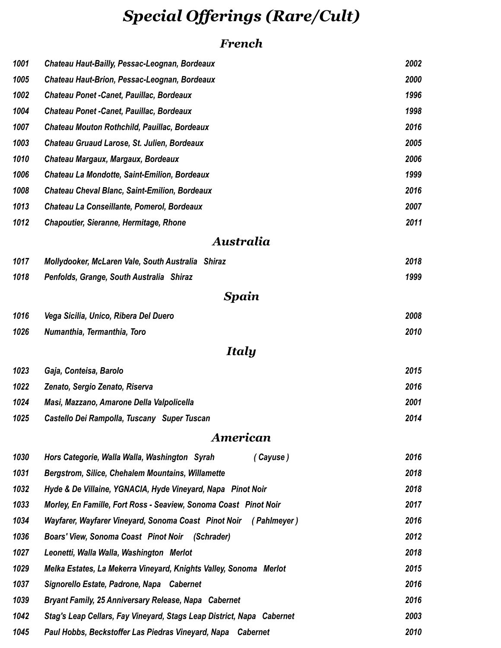## *Special Offerings (Rare/Cult)*

### *French*

| 1001 | Chateau Haut-Bailly, Pessac-Leognan, Bordeaux                         | 2002 |
|------|-----------------------------------------------------------------------|------|
| 1005 | Chateau Haut-Brion, Pessac-Leognan, Bordeaux                          | 2000 |
| 1002 | <b>Chateau Ponet - Canet, Pauillac, Bordeaux</b>                      | 1996 |
| 1004 | <b>Chateau Ponet - Canet, Pauillac, Bordeaux</b>                      | 1998 |
| 1007 | Chateau Mouton Rothchild, Pauillac, Bordeaux                          | 2016 |
| 1003 | Chateau Gruaud Larose, St. Julien, Bordeaux                           | 2005 |
| 1010 | Chateau Margaux, Margaux, Bordeaux                                    | 2006 |
| 1006 | Chateau La Mondotte, Saint-Emilion, Bordeaux                          | 1999 |
| 1008 | <b>Chateau Cheval Blanc, Saint-Emilion, Bordeaux</b>                  | 2016 |
| 1013 | Chateau La Conseillante, Pomerol, Bordeaux                            | 2007 |
| 1012 | <b>Chapoutier, Sieranne, Hermitage, Rhone</b>                         | 2011 |
|      | Australia                                                             |      |
| 1017 | Mollydooker, McLaren Vale, South Australia Shiraz                     | 2018 |
| 1018 | Penfolds, Grange, South Australia Shiraz                              | 1999 |
|      | Spain                                                                 |      |
| 1016 | Vega Sicilia, Unico, Ribera Del Duero                                 | 2008 |
| 1026 | Numanthia, Termanthia, Toro                                           | 2010 |
|      | Italy                                                                 |      |
| 1023 | Gaja, Conteisa, Barolo                                                | 2015 |
| 1022 | Zenato, Sergio Zenato, Riserva                                        | 2016 |
| 1024 | Masi, Mazzano, Amarone Della Valpolicella                             | 2001 |
| 1025 | Castello Dei Rampolla, Tuscany Super Tuscan                           | 2014 |
|      | American                                                              |      |
| 1030 | Hors Categorie, Walla Walla, Washington Syrah<br>(Cayuse)             | 2016 |
| 1031 | <b>Bergstrom, Silice, Chehalem Mountains, Willamette</b>              | 2018 |
| 1032 | Hyde & De Villaine, YGNACIA, Hyde Vineyard, Napa Pinot Noir           | 2018 |
| 1033 | Morley, En Famille, Fort Ross - Seaview, Sonoma Coast Pinot Noir      | 2017 |
| 1034 | Wayfarer, Wayfarer Vineyard, Sonoma Coast Pinot Noir (Pahlmeyer)      | 2016 |
| 1036 | Boars' View, Sonoma Coast Pinot Noir (Schrader)                       | 2012 |
| 1027 | Leonetti, Walla Walla, Washington Merlot                              | 2018 |
| 1029 | Melka Estates, La Mekerra Vineyard, Knights Valley, Sonoma Merlot     | 2015 |
| 1037 | Signorello Estate, Padrone, Napa Cabernet                             | 2016 |
| 1039 | <b>Bryant Family, 25 Anniversary Release, Napa Cabernet</b>           | 2016 |
| 1042 | Stag's Leap Cellars, Fay Vineyard, Stags Leap District, Napa Cabernet | 2003 |
| 1045 | Paul Hobbs, Beckstoffer Las Piedras Vineyard, Napa Cabernet           | 2010 |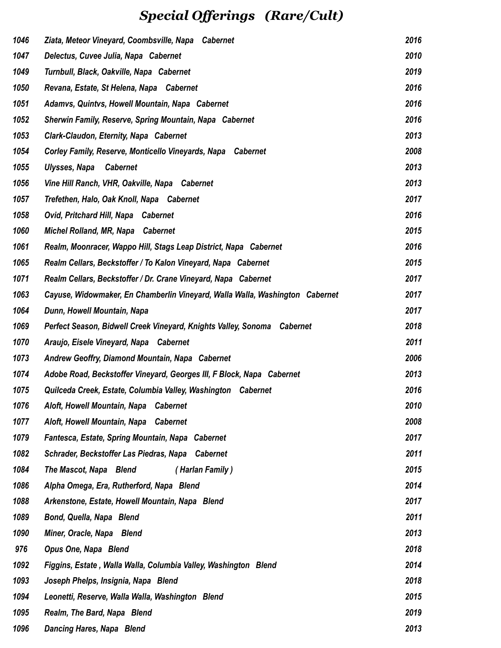## *Special Offerings (Rare/Cult)*

| 1046 | Ziata, Meteor Vineyard, Coombsville, Napa Cabernet                           | 2016 |
|------|------------------------------------------------------------------------------|------|
| 1047 | Delectus, Cuvee Julia, Napa Cabernet                                         | 2010 |
| 1049 | Turnbull, Black, Oakville, Napa Cabernet                                     | 2019 |
| 1050 | Revana, Estate, St Helena, Napa Cabernet                                     | 2016 |
| 1051 | Adamvs, Quintvs, Howell Mountain, Napa Cabernet                              | 2016 |
| 1052 | Sherwin Family, Reserve, Spring Mountain, Napa Cabernet                      | 2016 |
| 1053 | <b>Clark-Claudon, Eternity, Napa Cabernet</b>                                | 2013 |
| 1054 | Corley Family, Reserve, Monticello Vineyards, Napa Cabernet                  | 2008 |
| 1055 | Ulysses, Napa<br><b>Cabernet</b>                                             | 2013 |
| 1056 | Vine Hill Ranch, VHR, Oakville, Napa Cabernet                                | 2013 |
| 1057 | Trefethen, Halo, Oak Knoll, Napa Cabernet                                    | 2017 |
| 1058 | <b>Ovid, Pritchard Hill, Napa Cabernet</b>                                   | 2016 |
| 1060 | Michel Rolland, MR, Napa Cabernet                                            | 2015 |
| 1061 | Realm, Moonracer, Wappo Hill, Stags Leap District, Napa Cabernet             | 2016 |
| 1065 | Realm Cellars, Beckstoffer / To Kalon Vineyard, Napa Cabernet                | 2015 |
| 1071 | Realm Cellars, Beckstoffer / Dr. Crane Vineyard, Napa Cabernet               | 2017 |
| 1063 | Cayuse, Widowmaker, En Chamberlin Vineyard, Walla Walla, Washington Cabernet | 2017 |
| 1064 | Dunn, Howell Mountain, Napa                                                  | 2017 |
| 1069 | Perfect Season, Bidwell Creek Vineyard, Knights Valley, Sonoma Cabernet      | 2018 |
| 1070 | Araujo, Eisele Vineyard, Napa Cabernet                                       | 2011 |
| 1073 | Andrew Geoffry, Diamond Mountain, Napa Cabernet                              | 2006 |
| 1074 | Adobe Road, Beckstoffer Vineyard, Georges III, F Block, Napa Cabernet        | 2013 |
| 1075 | Quilceda Creek, Estate, Columbia Valley, Washington Cabernet                 | 2016 |
| 1076 | Aloft, Howell Mountain, Napa Cabernet                                        | 2010 |
| 1077 | Aloft, Howell Mountain, Napa Cabernet                                        | 2008 |
| 1079 | Fantesca, Estate, Spring Mountain, Napa Cabernet                             | 2017 |
| 1082 | Schrader, Beckstoffer Las Piedras, Napa Cabernet                             | 2011 |
| 1084 | The Mascot, Napa Blend<br>(Harlan Family)                                    | 2015 |
| 1086 | Alpha Omega, Era, Rutherford, Napa Blend                                     | 2014 |
| 1088 | Arkenstone, Estate, Howell Mountain, Napa Blend                              | 2017 |
| 1089 | Bond, Quella, Napa Blend                                                     | 2011 |
| 1090 | Miner, Oracle, Napa Blend                                                    | 2013 |
| 976  | Opus One, Napa Blend                                                         | 2018 |
| 1092 | Figgins, Estate, Walla Walla, Columbia Valley, Washington Blend              | 2014 |
| 1093 | Joseph Phelps, Insignia, Napa Blend                                          | 2018 |
| 1094 | Leonetti, Reserve, Walla Walla, Washington Blend                             | 2015 |
| 1095 | Realm, The Bard, Napa Blend                                                  | 2019 |
| 1096 | Dancing Hares, Napa Blend                                                    | 2013 |
|      |                                                                              |      |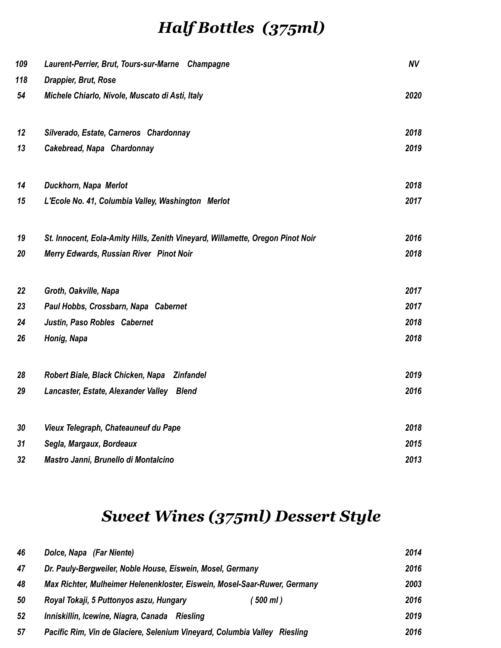## *Half Bottles (375ml)*

| 109 | Laurent-Perrier, Brut, Tours-sur-Marne Champagne                               | <b>NV</b> |
|-----|--------------------------------------------------------------------------------|-----------|
| 118 | Drappier, Brut, Rose                                                           |           |
| 54  | Michele Chiarlo, Nivole, Muscato di Asti, Italy                                | 2020      |
| 12  | Silverado, Estate, Carneros Chardonnay                                         | 2018      |
| 13  | Cakebread, Napa Chardonnay                                                     | 2019      |
| 14  | Duckhorn, Napa Merlot                                                          | 2018      |
| 15  | L'Ecole No. 41, Columbia Valley, Washington Merlot                             | 2017      |
| 19  | St. Innocent, Eola-Amity Hills, Zenith Vineyard, Willamette, Oregon Pinot Noir | 2016      |
| 20  | Merry Edwards, Russian River Pinot Noir                                        | 2018      |
| 22  | Groth, Oakville, Napa                                                          | 2017      |
| 23  | Paul Hobbs, Crossbarn, Napa Cabernet                                           | 2017      |
| 24  | Justin, Paso Robles Cabernet                                                   | 2018      |
| 26  | Honig, Napa                                                                    | 2018      |
| 28  | Robert Biale, Black Chicken, Napa<br><b>Zinfandel</b>                          | 2019      |
| 29  | Lancaster, Estate, Alexander Valley Blend                                      | 2016      |
| 30  | Vieux Telegraph, Chateauneuf du Pape                                           | 2018      |
| 31  | Segla, Margaux, Bordeaux                                                       | 2015      |
| 32  | Mastro Janni, Brunello di Montalcino                                           | 2013      |

## *Sweet Wines (375ml) Dessert Style*

| 46 | Dolce, Napa (Far Niente)                                                            | 2014 |
|----|-------------------------------------------------------------------------------------|------|
| 47 | Dr. Pauly-Bergweiler, Noble House, Eiswein, Mosel, Germany                          | 2016 |
| 48 | Max Richter, Mulheimer Helenenkloster, Eiswein, Mosel-Saar-Ruwer, Germany           | 2003 |
| 50 | Royal Tokaji, 5 Puttonyos aszu, Hungary<br>$500$ ml)                                | 2016 |
| 52 | Inniskillin, Icewine, Niagra, Canada<br>Rieslina                                    | 2019 |
| 57 | Pacific Rim, Vin de Glaciere, Selenium Vineyard, Columbia Valley<br><b>Riesling</b> | 2016 |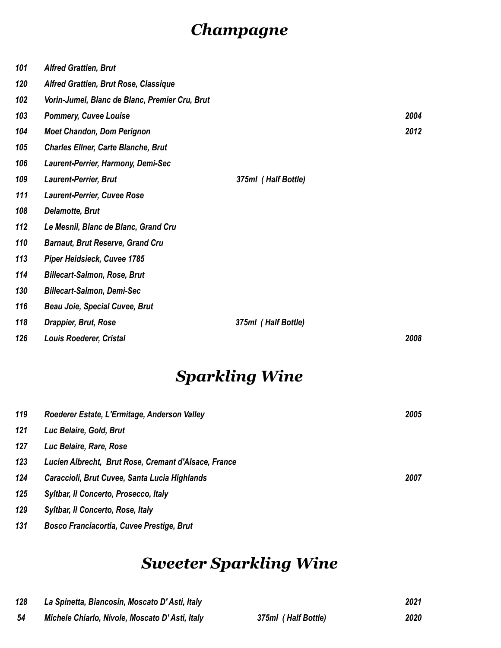## *Champagne*

| 101 | <b>Alfred Grattien, Brut</b>                   |                     |      |
|-----|------------------------------------------------|---------------------|------|
| 120 | Alfred Grattien, Brut Rose, Classique          |                     |      |
| 102 | Vorin-Jumel, Blanc de Blanc, Premier Cru, Brut |                     |      |
| 103 | <b>Pommery, Cuvee Louise</b>                   |                     | 2004 |
| 104 | <b>Moet Chandon, Dom Perignon</b>              |                     | 2012 |
| 105 | <b>Charles Ellner, Carte Blanche, Brut</b>     |                     |      |
| 106 | Laurent-Perrier, Harmony, Demi-Sec             |                     |      |
| 109 | <b>Laurent-Perrier, Brut</b>                   | 375ml (Half Bottle) |      |
| 111 | <b>Laurent-Perrier, Cuvee Rose</b>             |                     |      |
| 108 | <b>Delamotte, Brut</b>                         |                     |      |
| 112 | Le Mesnil, Blanc de Blanc, Grand Cru           |                     |      |
| 110 | <b>Barnaut, Brut Reserve, Grand Cru</b>        |                     |      |
| 113 | Piper Heidsieck, Cuvee 1785                    |                     |      |
| 114 | <b>Billecart-Salmon, Rose, Brut</b>            |                     |      |
| 130 | <b>Billecart-Salmon, Demi-Sec</b>              |                     |      |
| 116 | <b>Beau Joie, Special Cuvee, Brut</b>          |                     |      |
| 118 | Drappier, Brut, Rose                           | 375ml (Half Bottle) |      |
| 126 | <b>Louis Roederer, Cristal</b>                 |                     | 2008 |

## *Sparkling Wine*

| 119 | Roederer Estate, L'Ermitage, Anderson Valley         | 2005 |
|-----|------------------------------------------------------|------|
| 121 | Luc Belaire, Gold, Brut                              |      |
| 127 | Luc Belaire, Rare, Rose                              |      |
| 123 | Lucien Albrecht, Brut Rose, Cremant d'Alsace, France |      |
| 124 | Caraccioli, Brut Cuvee, Santa Lucia Highlands        | 2007 |
| 125 | Syltbar, Il Concerto, Prosecco, Italy                |      |
| 129 | <b>Syltbar, Il Concerto, Rose, Italy</b>             |      |
| 131 | <b>Bosco Franciacortia, Cuvee Prestige, Brut</b>     |      |

## *Sweeter Sparkling Wine*

| 128 | La Spinetta, Biancosin, Moscato D'Asti, Italy  |                     | 2021 |
|-----|------------------------------------------------|---------------------|------|
| -54 | Michele Chiarlo, Nivole, Moscato D'Asti, Italy | 375ml (Half Bottle) | 2020 |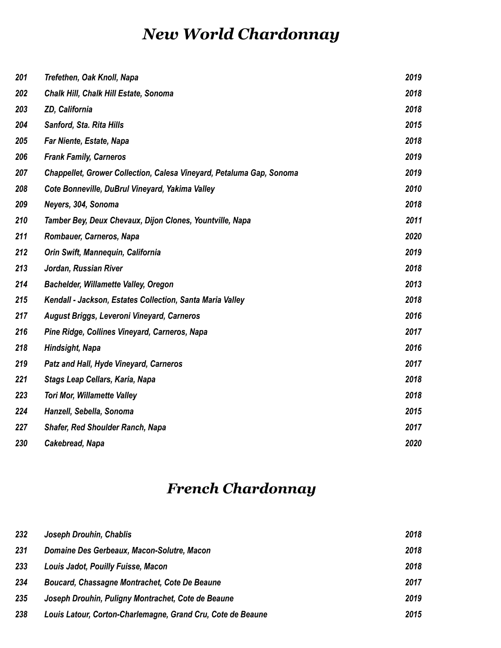## *New World Chardonnay*

| 201 | Trefethen, Oak Knoll, Napa                                           | 2019 |
|-----|----------------------------------------------------------------------|------|
| 202 | Chalk Hill, Chalk Hill Estate, Sonoma                                | 2018 |
| 203 | ZD, California                                                       | 2018 |
| 204 | Sanford, Sta. Rita Hills                                             | 2015 |
| 205 | Far Niente, Estate, Napa                                             | 2018 |
| 206 | <b>Frank Family, Carneros</b>                                        | 2019 |
| 207 | Chappellet, Grower Collection, Calesa Vineyard, Petaluma Gap, Sonoma | 2019 |
| 208 | Cote Bonneville, DuBrul Vineyard, Yakima Valley                      | 2010 |
| 209 | Neyers, 304, Sonoma                                                  | 2018 |
| 210 | Tamber Bey, Deux Chevaux, Dijon Clones, Yountville, Napa             | 2011 |
| 211 | Rombauer, Carneros, Napa                                             | 2020 |
| 212 | Orin Swift, Mannequin, California                                    | 2019 |
| 213 | Jordan, Russian River                                                | 2018 |
| 214 | <b>Bachelder, Willamette Valley, Oregon</b>                          | 2013 |
| 215 | Kendall - Jackson, Estates Collection, Santa Maria Valley            | 2018 |
| 217 | August Briggs, Leveroni Vineyard, Carneros                           | 2016 |
| 216 | Pine Ridge, Collines Vineyard, Carneros, Napa                        | 2017 |
| 218 | Hindsight, Napa                                                      | 2016 |
| 219 | Patz and Hall, Hyde Vineyard, Carneros                               | 2017 |
| 221 | Stags Leap Cellars, Karia, Napa                                      | 2018 |
| 223 | <b>Tori Mor, Willamette Valley</b>                                   | 2018 |
| 224 | Hanzell, Sebella, Sonoma                                             | 2015 |
| 227 | <b>Shafer, Red Shoulder Ranch, Napa</b>                              | 2017 |
| 230 | Cakebread, Napa                                                      | 2020 |

## *French Chardonnay*

| 232 | Joseph Drouhin, Chablis                                     | 2018 |
|-----|-------------------------------------------------------------|------|
| 231 | Domaine Des Gerbeaux, Macon-Solutre, Macon                  | 2018 |
| 233 | Louis Jadot, Pouilly Fuisse, Macon                          | 2018 |
| 234 | Boucard, Chassagne Montrachet, Cote De Beaune               | 2017 |
| 235 | Joseph Drouhin, Puligny Montrachet, Cote de Beaune          | 2019 |
| 238 | Louis Latour, Corton-Charlemagne, Grand Cru, Cote de Beaune | 2015 |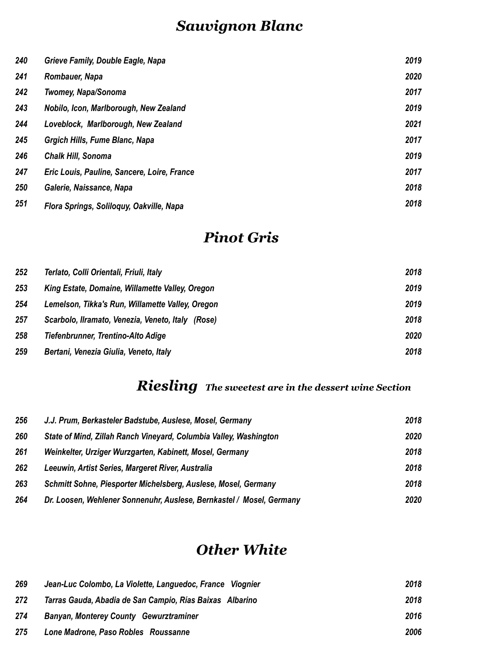## *Sauvignon Blanc*

| 240 | Grieve Family, Double Eagle, Napa           | 2019 |
|-----|---------------------------------------------|------|
| 241 | Rombauer, Napa                              | 2020 |
| 242 | <b>Twomey, Napa/Sonoma</b>                  | 2017 |
| 243 | Nobilo, Icon, Marlborough, New Zealand      | 2019 |
| 244 | Loveblock, Marlborough, New Zealand         | 2021 |
| 245 | Grgich Hills, Fume Blanc, Napa              | 2017 |
| 246 | <b>Chalk Hill, Sonoma</b>                   | 2019 |
| 247 | Eric Louis, Pauline, Sancere, Loire, France | 2017 |
| 250 | Galerie, Naissance, Napa                    | 2018 |
| 251 | Flora Springs, Soliloguy, Oakville, Napa    | 2018 |

## *Pinot Gris*

| 252 | Terlato, Colli Orientali, Friuli, Italy           | 2018 |
|-----|---------------------------------------------------|------|
| 253 | King Estate, Domaine, Willamette Valley, Oregon   | 2019 |
| 254 | Lemelson, Tikka's Run, Willamette Valley, Oregon  | 2019 |
| 257 | Scarbolo, Ilramato, Venezia, Veneto, Italy (Rose) | 2018 |
| 258 | Tiefenbrunner, Trentino-Alto Adige                | 2020 |
| 259 | Bertani, Venezia Giulia, Veneto, Italy            | 2018 |

### *Riesling The sweetest are in the dessert wine Section*

| 256 | J.J. Prum, Berkasteler Badstube, Auslese, Mosel, Germany             | 2018 |
|-----|----------------------------------------------------------------------|------|
| 260 | State of Mind, Zillah Ranch Vineyard, Columbia Valley, Washington    | 2020 |
| 261 | Weinkelter, Urziger Wurzgarten, Kabinett, Mosel, Germany             | 2018 |
| 262 | Leeuwin, Artist Series, Margeret River, Australia                    | 2018 |
| 263 | Schmitt Sohne, Piesporter Michelsberg, Auslese, Mosel, Germany       | 2018 |
| 264 | Dr. Loosen, Wehlener Sonnenuhr, Auslese, Bernkastel / Mosel, Germany | 2020 |

### *Other White*

| 269 | Jean-Luc Colombo, La Violette, Languedoc, France Viognier | 2018 |
|-----|-----------------------------------------------------------|------|
| 272 | Tarras Gauda, Abadia de San Campio, Rías Baixas Albarino  | 2018 |
| 274 | <b>Banyan, Monterey County Gewurztraminer</b>             | 2016 |
| 275 | Lone Madrone, Paso Robles Roussanne                       | 2006 |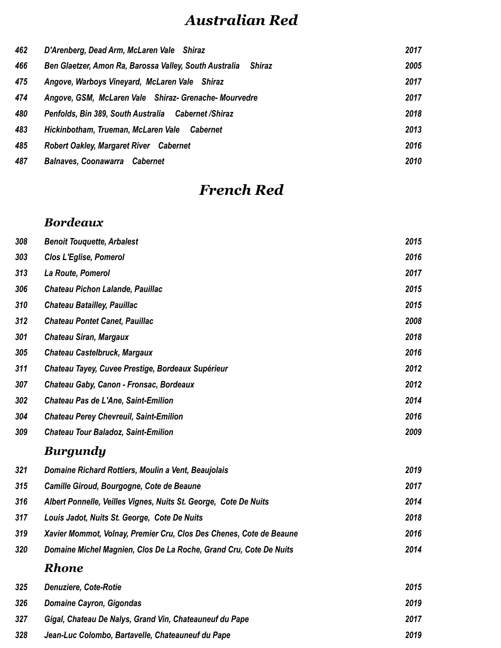## *Australian Red*

| 462 | D'Arenberg, Dead Arm, McLaren Vale Shiraz                        | 2017 |
|-----|------------------------------------------------------------------|------|
| 466 | Ben Glaetzer, Amon Ra, Barossa Valley, South Australia<br>Shiraz | 2005 |
| 475 | Angove, Warboys Vineyard, McLaren Vale Shiraz                    | 2017 |
| 474 | Angove, GSM, McLaren Vale Shiraz- Grenache-Mourvedre             | 2017 |
| 480 | Penfolds, Bin 389, South Australia Cabernet / Shiraz             | 2018 |
| 483 | Hickinbotham, Trueman, McLaren Vale Cabernet                     | 2013 |
| 485 | <b>Robert Oakley, Margaret River</b> Cabernet                    | 2016 |
| 487 | <b>Balnaves, Coonawarra Cabernet</b>                             | 2010 |

## *French Red*

#### *Bordeaux*

| 308 | <b>Benoit Touquette, Arbalest</b>                                   | 2015 |
|-----|---------------------------------------------------------------------|------|
| 303 | <b>Clos L'Eglise, Pomerol</b>                                       | 2016 |
| 313 | La Route, Pomerol                                                   | 2017 |
| 306 | Chateau Pichon Lalande, Pauillac                                    | 2015 |
| 310 | <b>Chateau Batailley, Pauillac</b>                                  | 2015 |
| 312 | <b>Chateau Pontet Canet, Pauillac</b>                               | 2008 |
| 301 | <b>Chateau Siran, Margaux</b>                                       | 2018 |
| 305 | Chateau Castelbruck, Margaux                                        | 2016 |
| 311 | Chateau Tayey, Cuvee Prestige, Bordeaux Supérieur                   | 2012 |
| 307 | Chateau Gaby, Canon - Fronsac, Bordeaux                             | 2012 |
| 302 | Chateau Pas de L'Ane, Saint-Emilion                                 | 2014 |
| 304 | <b>Chateau Perey Chevreuil, Saint-Emilion</b>                       | 2016 |
| 309 | <b>Chateau Tour Baladoz, Saint-Emilion</b>                          | 2009 |
|     | <b>Burgundy</b>                                                     |      |
| 321 | Domaine Richard Rottiers, Moulin a Vent, Beaujolais                 | 2019 |
| 315 | Camille Giroud, Bourgogne, Cote de Beaune                           | 2017 |
| 316 | Albert Ponnelle, Veilles Vignes, Nuits St. George, Cote De Nuits    | 2014 |
| 317 | Louis Jadot, Nuits St. George, Cote De Nuits                        | 2018 |
| 319 | Xavier Mommot, Volnay, Premier Cru, Clos Des Chenes, Cote de Beaune | 2016 |
| 320 | Domaine Michel Magnien, Clos De La Roche, Grand Cru, Cote De Nuits  | 2014 |
|     | <b>Rhone</b>                                                        |      |
| 325 | <b>Denuziere, Cote-Rotie</b>                                        | 2015 |

| 326 | Domaine Cayron, Gigondas                                | 2019 |
|-----|---------------------------------------------------------|------|
| 327 | Gigal, Chateau De Nalys, Grand Vin, Chateauneuf du Pape | 2017 |
| 328 | Jean-Luc Colombo, Bartavelle, Chateauneuf du Pape       | 2019 |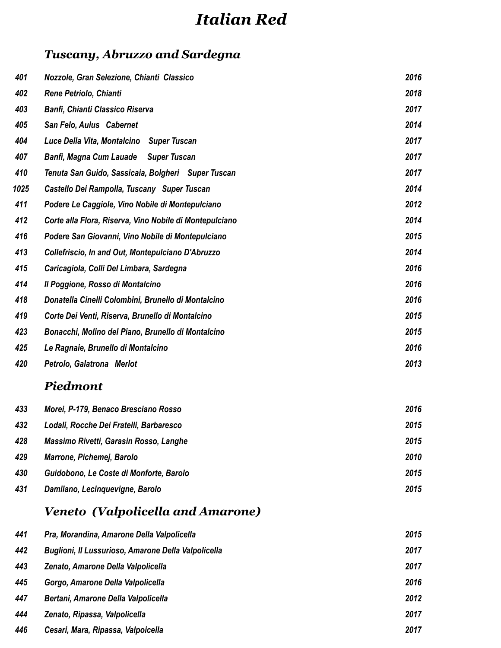## *Italian Red*

### *Tuscany, Abruzzo and Sardegna*

| Nozzole, Gran Selezione, Chianti Classico               | 2016 |
|---------------------------------------------------------|------|
| Rene Petriolo, Chianti                                  | 2018 |
| <b>Banfi, Chianti Classico Riserva</b>                  | 2017 |
| San Felo, Aulus Cabernet                                | 2014 |
| Luce Della Vita, Montalcino Super Tuscan                | 2017 |
| Banfi, Magna Cum Lauade Super Tuscan                    | 2017 |
| Tenuta San Guido, Sassicaia, Bolgheri Super Tuscan      | 2017 |
| Castello Dei Rampolla, Tuscany Super Tuscan             | 2014 |
| Podere Le Caggiole, Vino Nobile di Montepulciano        | 2012 |
| Corte alla Flora, Riserva, Vino Nobile di Montepulciano | 2014 |
| Podere San Giovanni, Vino Nobile di Montepulciano       | 2015 |
| Collefriscio, In and Out, Montepulciano D'Abruzzo       | 2014 |
| Caricagiola, Colli Del Limbara, Sardegna                | 2016 |
| Il Poggione, Rosso di Montalcino                        | 2016 |
| Donatella Cinelli Colombini, Brunello di Montalcino     | 2016 |
| Corte Dei Venti, Riserva, Brunello di Montalcino        | 2015 |
| Bonacchi, Molino del Piano, Brunello di Montalcino      | 2015 |
| Le Ragnaie, Brunello di Montalcino                      | 2016 |
| Petrolo, Galatrona Merlot                               | 2013 |
|                                                         |      |

### *Piedmont*

| 433 | Morei, P-179, Benaco Bresciano Rosso    | 2016 |
|-----|-----------------------------------------|------|
| 432 | Lodali, Rocche Dei Fratelli, Barbaresco | 2015 |
| 428 | Massimo Rivetti, Garasin Rosso, Langhe  | 2015 |
| 429 | Marrone, Pichemej, Barolo               | 2010 |
| 430 | Guidobono, Le Coste di Monforte, Barolo | 2015 |
| 431 | Damilano, Lecinquevigne, Barolo         | 2015 |

### *Veneto (Valpolicella and Amarone)*

| 441 | Pra, Morandina, Amarone Della Valpolicella          | 2015 |
|-----|-----------------------------------------------------|------|
| 442 | Buglioni, Il Lussurioso, Amarone Della Valpolicella | 2017 |
| 443 | Zenato, Amarone Della Valpolicella                  | 2017 |
| 445 | Gorgo, Amarone Della Valpolicella                   | 2016 |
| 447 | Bertani, Amarone Della Valpolicella                 | 2012 |
| 444 | Zenato, Ripassa, Valpolicella                       | 2017 |
| 446 | Cesari, Mara, Ripassa, Valpoicella                  | 2017 |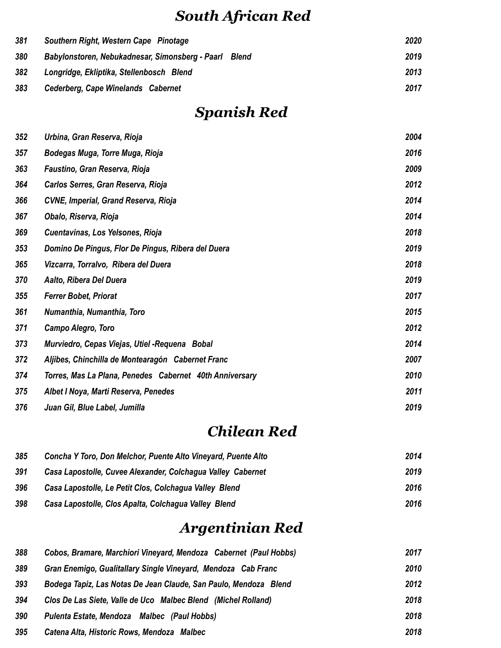## *South African Red*

| 381 | Southern Right, Western Cape Pinotage                 | 2020 |
|-----|-------------------------------------------------------|------|
| 380 | Babylonstoren, Nebukadnesar, Simonsberg - Paarl Blend | 2019 |
| 382 | Longridge, Ekliptika, Stellenbosch Blend              | 2013 |
| 383 | Cederberg, Cape Winelands Cabernet                    | 2017 |

## *Spanish Red*

| 352 | Urbina, Gran Reserva, Rioja                             | 2004 |
|-----|---------------------------------------------------------|------|
| 357 | Bodegas Muga, Torre Muga, Rioja                         | 2016 |
| 363 | Faustino, Gran Reserva, Rioja                           | 2009 |
| 364 | Carlos Serres, Gran Reserva, Rioja                      | 2012 |
| 366 | CVNE, Imperial, Grand Reserva, Rioja                    | 2014 |
| 367 | Obalo, Riserva, Rioja                                   | 2014 |
| 369 | Cuentavinas, Los Yelsones, Rioja                        | 2018 |
| 353 | Domino De Pingus, Flor De Pingus, Ribera del Duera      | 2019 |
| 365 | Vizcarra, Torralvo, Ribera del Duera                    | 2018 |
| 370 | Aalto, Ribera Del Duera                                 | 2019 |
| 355 | <b>Ferrer Bobet, Priorat</b>                            | 2017 |
| 361 | Numanthia, Numanthia, Toro                              | 2015 |
| 371 | Campo Alegro, Toro                                      | 2012 |
| 373 | Murviedro, Cepas Viejas, Utiel - Requena Bobal          | 2014 |
| 372 | Aljibes, Chinchilla de Montearagón Cabernet Franc       | 2007 |
| 374 | Torres, Mas La Plana, Penedes Cabernet 40th Anniversary | 2010 |
| 375 | Albet I Noya, Marti Reserva, Penedes                    | 2011 |
| 376 | Juan Gil, Blue Label, Jumilla                           | 2019 |

### *Chilean Red*

| 385 | Concha Y Toro, Don Melchor, Puente Alto Vineyard, Puente Alto | 2014 |
|-----|---------------------------------------------------------------|------|
| 391 | Casa Lapostolle, Cuvee Alexander, Colchagua Valley Cabernet   | 2019 |
| 396 | Casa Lapostolle, Le Petit Clos, Colchagua Valley Blend        | 2016 |
| 398 | Casa Lapostolle, Clos Apalta, Colchagua Valley Blend          | 2016 |

## *Argentinian Red*

| 388 | Cobos, Bramare, Marchiori Vineyard, Mendoza Cabernet (Paul Hobbs) | 2017 |
|-----|-------------------------------------------------------------------|------|
| 389 | Gran Enemigo, Gualitallary Single Vineyard, Mendoza Cab Franc     | 2010 |
| 393 | Bodega Tapiz, Las Notas De Jean Claude, San Paulo, Mendoza Blend  | 2012 |
| 394 | Clos De Las Siete, Valle de Uco Malbec Blend (Michel Rolland)     | 2018 |
| 390 | Pulenta Estate, Mendoza Malbec (Paul Hobbs)                       | 2018 |
| 395 | Catena Alta, Historic Rows, Mendoza Malbec                        | 2018 |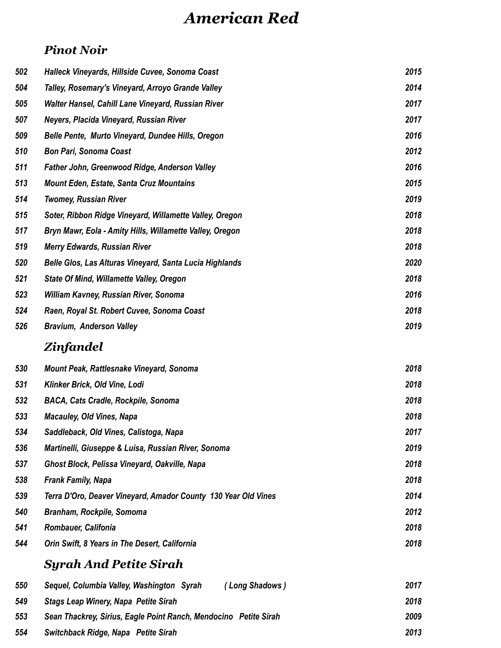## *American Red*

#### *Pinot Noir*

| 502 | Halleck Vineyards, Hillside Cuvee, Sonoma Coast          | 2015 |
|-----|----------------------------------------------------------|------|
| 504 | Talley, Rosemary's Vineyard, Arroyo Grande Valley        | 2014 |
| 505 | Walter Hansel, Cahill Lane Vineyard, Russian River       | 2017 |
| 507 | Neyers, Placida Vineyard, Russian River                  | 2017 |
| 509 | Belle Pente, Murto Vineyard, Dundee Hills, Oregon        | 2016 |
| 510 | <b>Bon Pari, Sonoma Coast</b>                            | 2012 |
| 511 | Father John, Greenwood Ridge, Anderson Valley            | 2016 |
| 513 | <b>Mount Eden, Estate, Santa Cruz Mountains</b>          | 2015 |
| 514 | <b>Twomey, Russian River</b>                             | 2019 |
| 515 | Soter, Ribbon Ridge Vineyard, Willamette Valley, Oregon  | 2018 |
| 517 | Bryn Mawr, Eola - Amity Hills, Willamette Valley, Oregon | 2018 |
| 519 | <b>Merry Edwards, Russian River</b>                      | 2018 |
| 520 | Belle Glos, Las Alturas Vineyard, Santa Lucia Highlands  | 2020 |
| 521 | <b>State Of Mind, Willamette Valley, Oregon</b>          | 2018 |
| 523 | William Kavney, Russian River, Sonoma                    | 2016 |
| 524 | Raen, Royal St. Robert Cuvee, Sonoma Coast               | 2018 |
| 526 | <b>Bravium, Anderson Valley</b>                          | 2019 |

### *Zinfandel*

| 530 | Mount Peak, Rattlesnake Vineyard, Sonoma                       | 2018 |
|-----|----------------------------------------------------------------|------|
| 531 | Klinker Brick, Old Vine, Lodi                                  | 2018 |
| 532 | <b>BACA, Cats Cradle, Rockpile, Sonoma</b>                     | 2018 |
| 533 | <b>Macauley, Old Vines, Napa</b>                               | 2018 |
| 534 | Saddleback, Old Vines, Calistoga, Napa                         | 2017 |
| 536 | Martinelli, Giuseppe & Luisa, Russian River, Sonoma            | 2019 |
| 537 | Ghost Block, Pelissa Vineyard, Oakville, Napa                  | 2018 |
| 538 | <b>Frank Family, Napa</b>                                      | 2018 |
| 539 | Terra D'Oro, Deaver Vineyard, Amador County 130 Year Old Vines | 2014 |
| 540 | Branham, Rockpile, Somoma                                      | 2012 |
| 541 | <b>Rombauer, Califonia</b>                                     | 2018 |
| 544 | Orin Swift, 8 Years in The Desert, California                  | 2018 |

### *Syrah And Petite Sirah*

| 550 | Sequel, Columbia Valley, Washington Syrah<br>(Long Shadows)      | 2017 |
|-----|------------------------------------------------------------------|------|
| 549 | <b>Stags Leap Winery, Napa Petite Sirah</b>                      | 2018 |
| 553 | Sean Thackrey, Sirius, Eagle Point Ranch, Mendocino Petite Sirah | 2009 |
| 554 | Switchback Ridge, Napa Petite Sirah                              | 2013 |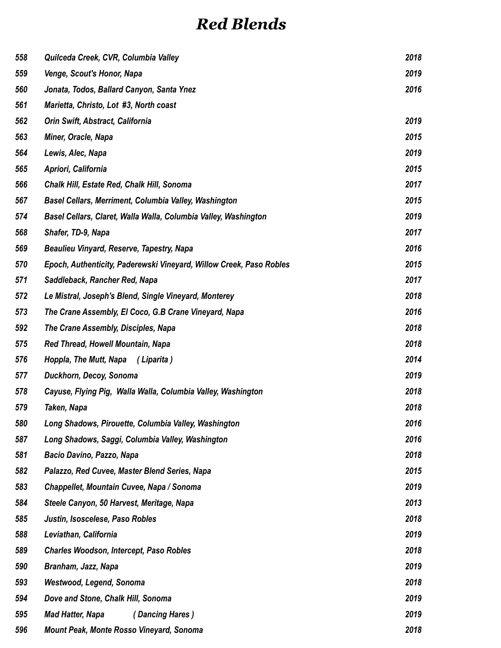## *Red Blends*

| 558 | Quilceda Creek, CVR, Columbia Valley                                | 2018 |
|-----|---------------------------------------------------------------------|------|
| 559 | Venge, Scout's Honor, Napa                                          | 2019 |
| 560 | Jonata, Todos, Ballard Canyon, Santa Ynez                           | 2016 |
| 561 | Marietta, Christo, Lot #3, North coast                              |      |
| 562 | Orin Swift, Abstract, California                                    | 2019 |
| 563 | Miner, Oracle, Napa                                                 | 2015 |
| 564 | Lewis, Alec, Napa                                                   | 2019 |
| 565 | Apriori, California                                                 | 2015 |
| 566 | Chalk Hill, Estate Red, Chalk Hill, Sonoma                          | 2017 |
| 567 | <b>Basel Cellars, Merriment, Columbia Valley, Washington</b>        | 2015 |
| 574 | Basel Cellars, Claret, Walla Walla, Columbia Valley, Washington     | 2019 |
| 568 | Shafer, TD-9, Napa                                                  | 2017 |
| 569 | Beaulieu Vinyard, Reserve, Tapestry, Napa                           | 2016 |
| 570 | Epoch, Authenticity, Paderewski Vineyard, Willow Creek, Paso Robles | 2015 |
| 571 | Saddleback, Rancher Red, Napa                                       | 2017 |
| 572 | Le Mistral, Joseph's Blend, Single Vineyard, Monterey               | 2018 |
| 573 | The Crane Assembly, El Coco, G.B Crane Vineyard, Napa               | 2016 |
| 592 | The Crane Assembly, Disciples, Napa                                 | 2018 |
| 575 | Red Thread, Howell Mountain, Napa                                   | 2018 |
| 576 | Hoppla, The Mutt, Napa<br>(Liparita)                                | 2014 |
| 577 | Duckhorn, Decoy, Sonoma                                             | 2019 |
| 578 | Cayuse, Flying Pig, Walla Walla, Columbia Valley, Washington        | 2018 |
| 579 | Taken, Napa                                                         | 2018 |
| 580 | Long Shadows, Pirouette, Columbia Valley, Washington                | 2016 |
| 587 | Long Shadows, Saggi, Columbia Valley, Washington                    | 2016 |
| 581 | Bacio Davino, Pazzo, Napa                                           | 2018 |
| 582 | Palazzo, Red Cuvee, Master Blend Series, Napa                       | 2015 |
| 583 | Chappellet, Mountain Cuvee, Napa / Sonoma                           | 2019 |
| 584 | Steele Canyon, 50 Harvest, Meritage, Napa                           | 2013 |
| 585 | Justin, Isoscelese, Paso Robles                                     | 2018 |
| 588 | Leviathan, California                                               | 2019 |
| 589 | <b>Charles Woodson, Intercept, Paso Robles</b>                      | 2018 |
| 590 | Branham, Jazz, Napa                                                 | 2019 |
| 593 | Westwood, Legend, Sonoma                                            | 2018 |
| 594 | Dove and Stone, Chalk Hill, Sonoma                                  | 2019 |
| 595 | <b>Mad Hatter, Napa</b><br>(Dancing Hares)                          | 2019 |
| 596 | Mount Peak, Monte Rosso Vineyard, Sonoma                            | 2018 |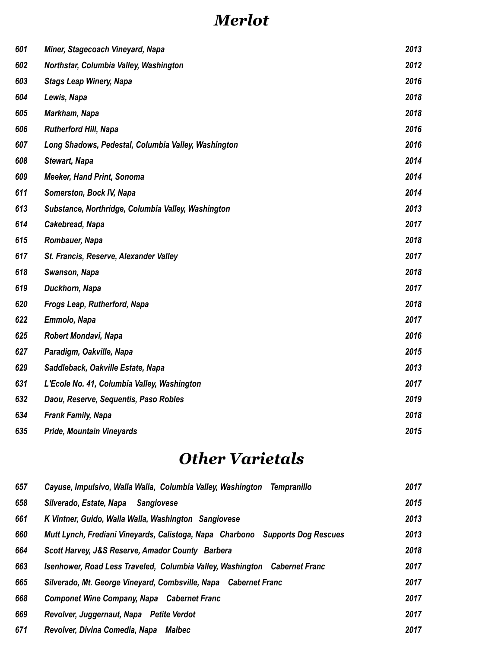## *Merlot*

| 601 | Miner, Stagecoach Vineyard, Napa                    | 2013 |
|-----|-----------------------------------------------------|------|
| 602 | Northstar, Columbia Valley, Washington              | 2012 |
| 603 | <b>Stags Leap Winery, Napa</b>                      | 2016 |
| 604 | Lewis, Napa                                         | 2018 |
| 605 | Markham, Napa                                       | 2018 |
| 606 | <b>Rutherford Hill, Napa</b>                        | 2016 |
| 607 | Long Shadows, Pedestal, Columbia Valley, Washington | 2016 |
| 608 | <b>Stewart, Napa</b>                                | 2014 |
| 609 | Meeker, Hand Print, Sonoma                          | 2014 |
| 611 | Somerston, Bock IV, Napa                            | 2014 |
| 613 | Substance, Northridge, Columbia Valley, Washington  | 2013 |
| 614 | Cakebread, Napa                                     | 2017 |
| 615 | Rombauer, Napa                                      | 2018 |
| 617 | St. Francis, Reserve, Alexander Valley              | 2017 |
| 618 | Swanson, Napa                                       | 2018 |
| 619 | Duckhorn, Napa                                      | 2017 |
| 620 | Frogs Leap, Rutherford, Napa                        | 2018 |
| 622 | Emmolo, Napa                                        | 2017 |
| 625 | Robert Mondavi, Napa                                | 2016 |
| 627 | Paradigm, Oakville, Napa                            | 2015 |
| 629 | Saddleback, Oakville Estate, Napa                   | 2013 |
| 631 | L'Ecole No. 41, Columbia Valley, Washington         | 2017 |
| 632 | Daou, Reserve, Sequentis, Paso Robles               | 2019 |
| 634 | <b>Frank Family, Napa</b>                           | 2018 |
| 635 | <b>Pride, Mountain Vineyards</b>                    | 2015 |

## *Other Varietals*

| 657 | Cayuse, Impulsivo, Walla Walla, Columbia Valley, Washington Tempranillo       | 2017 |
|-----|-------------------------------------------------------------------------------|------|
| 658 | Silverado, Estate, Napa<br><b>Sangiovese</b>                                  | 2015 |
| 661 | K Vintner, Guido, Walla Walla, Washington Sangiovese                          | 2013 |
| 660 | Mutt Lynch, Frediani Vineyards, Calistoga, Napa Charbono Supports Dog Rescues | 2013 |
| 664 | Scott Harvey, J&S Reserve, Amador County Barbera                              | 2018 |
| 663 | Isenhower, Road Less Traveled, Columbia Valley, Washington Cabernet Franc     | 2017 |
| 665 | Silverado, Mt. George Vineyard, Combsville, Napa Cabernet Franc               | 2017 |
| 668 | <b>Componet Wine Company, Napa Cabernet Franc</b>                             | 2017 |
| 669 | Revolver, Juggernaut, Napa Petite Verdot                                      | 2017 |
| 671 | Revolver, Divina Comedia, Napa<br>Malbec                                      | 2017 |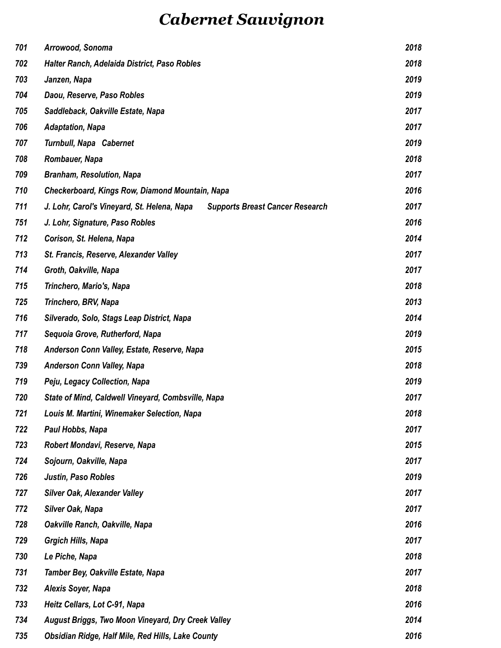## *Cabernet Sauvignon*

| 701 | Arrowood, Sonoma                                                                      | 2018 |
|-----|---------------------------------------------------------------------------------------|------|
| 702 | Halter Ranch, Adelaida District, Paso Robles                                          | 2018 |
| 703 | Janzen, Napa                                                                          | 2019 |
| 704 | Daou, Reserve, Paso Robles                                                            | 2019 |
| 705 | Saddleback, Oakville Estate, Napa                                                     | 2017 |
| 706 | <b>Adaptation, Napa</b>                                                               | 2017 |
| 707 | <b>Turnbull, Napa Cabernet</b>                                                        | 2019 |
| 708 | Rombauer, Napa                                                                        | 2018 |
| 709 | <b>Branham, Resolution, Napa</b>                                                      | 2017 |
| 710 | Checkerboard, Kings Row, Diamond Mountain, Napa                                       | 2016 |
| 711 | J. Lohr, Carol's Vineyard, St. Helena, Napa<br><b>Supports Breast Cancer Research</b> | 2017 |
| 751 | J. Lohr, Signature, Paso Robles                                                       | 2016 |
| 712 | Corison, St. Helena, Napa                                                             | 2014 |
| 713 | St. Francis, Reserve, Alexander Valley                                                | 2017 |
| 714 | Groth, Oakville, Napa                                                                 | 2017 |
| 715 | Trinchero, Mario's, Napa                                                              | 2018 |
| 725 | Trinchero, BRV, Napa                                                                  | 2013 |
| 716 | Silverado, Solo, Stags Leap District, Napa                                            | 2014 |
| 717 | Sequoia Grove, Rutherford, Napa                                                       | 2019 |
| 718 | Anderson Conn Valley, Estate, Reserve, Napa                                           | 2015 |
| 739 | <b>Anderson Conn Valley, Napa</b>                                                     | 2018 |
| 719 | Peju, Legacy Collection, Napa                                                         | 2019 |
| 720 | State of Mind, Caldwell Vineyard, Combsville, Napa                                    | 2017 |
| 721 | Louis M. Martini, Winemaker Selection, Napa                                           | 2018 |
| 722 | Paul Hobbs, Napa                                                                      | 2017 |
| 723 | Robert Mondavi, Reserve, Napa                                                         | 2015 |
| 724 | Sojourn, Oakville, Napa                                                               | 2017 |
| 726 | Justin, Paso Robles                                                                   | 2019 |
| 727 | Silver Oak, Alexander Valley                                                          | 2017 |
| 772 | <b>Silver Oak, Napa</b>                                                               | 2017 |
| 728 | Oakville Ranch, Oakville, Napa                                                        | 2016 |
| 729 | <b>Grgich Hills, Napa</b>                                                             | 2017 |
| 730 | Le Piche, Napa                                                                        | 2018 |
| 731 | Tamber Bey, Oakville Estate, Napa                                                     | 2017 |
| 732 | Alexis Soyer, Napa                                                                    | 2018 |
| 733 | Heitz Cellars, Lot C-91, Napa                                                         | 2016 |
| 734 | August Briggs, Two Moon Vineyard, Dry Creek Valley                                    | 2014 |
| 735 | Obsidian Ridge, Half Mile, Red Hills, Lake County                                     | 2016 |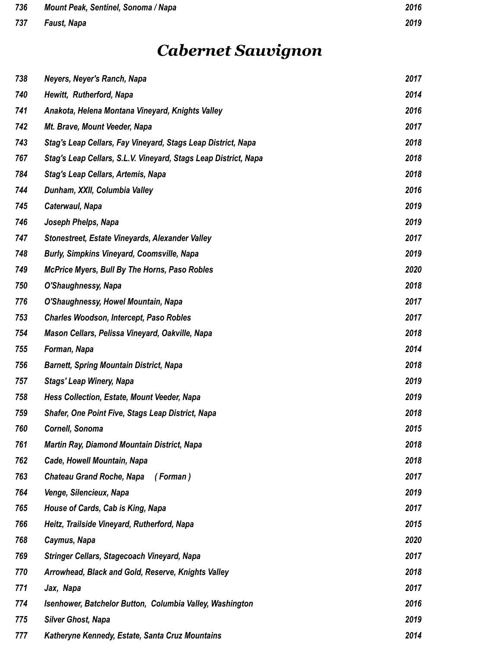#### *Faust, Napa 2019*

## *Cabernet Sauvignon*

| 738 | Neyers, Neyer's Ranch, Napa                                     | 2017 |
|-----|-----------------------------------------------------------------|------|
| 740 | Hewitt, Rutherford, Napa                                        | 2014 |
| 741 | Anakota, Helena Montana Vineyard, Knights Valley                | 2016 |
| 742 | Mt. Brave, Mount Veeder, Napa                                   | 2017 |
| 743 | Stag's Leap Cellars, Fay Vineyard, Stags Leap District, Napa    | 2018 |
| 767 | Stag's Leap Cellars, S.L.V. Vineyard, Stags Leap District, Napa | 2018 |
| 784 | Stag's Leap Cellars, Artemis, Napa                              | 2018 |
| 744 | Dunham, XXII, Columbia Valley                                   | 2016 |
| 745 | Caterwaul, Napa                                                 | 2019 |
| 746 | Joseph Phelps, Napa                                             | 2019 |
| 747 | Stonestreet, Estate Vineyards, Alexander Valley                 | 2017 |
| 748 | <b>Burly, Simpkins Vineyard, Coomsville, Napa</b>               | 2019 |
| 749 | McPrice Myers, Bull By The Horns, Paso Robles                   | 2020 |
| 750 | O'Shaughnessy, Napa                                             | 2018 |
| 776 | O'Shaughnessy, Howel Mountain, Napa                             | 2017 |
| 753 | <b>Charles Woodson, Intercept, Paso Robles</b>                  | 2017 |
| 754 | Mason Cellars, Pelissa Vineyard, Oakville, Napa                 | 2018 |
| 755 | Forman, Napa                                                    | 2014 |
| 756 | <b>Barnett, Spring Mountain District, Napa</b>                  | 2018 |
| 757 | <b>Stags' Leap Winery, Napa</b>                                 | 2019 |
| 758 | Hess Collection, Estate, Mount Veeder, Napa                     | 2019 |
| 759 | Shafer, One Point Five, Stags Leap District, Napa               | 2018 |
| 760 | Cornell, Sonoma                                                 | 2015 |
| 761 | Martin Ray, Diamond Mountain District, Napa                     | 2018 |
| 762 | Cade, Howell Mountain, Napa                                     | 2018 |
| 763 | <b>Chateau Grand Roche, Napa</b><br>(Forman)                    | 2017 |
| 764 | Venge, Silencieux, Napa                                         | 2019 |
| 765 | House of Cards, Cab is King, Napa                               | 2017 |
| 766 | Heitz, Trailside Vineyard, Rutherford, Napa                     | 2015 |
| 768 | Caymus, Napa                                                    | 2020 |
| 769 | Stringer Cellars, Stagecoach Vineyard, Napa                     | 2017 |
| 770 | Arrowhead, Black and Gold, Reserve, Knights Valley              | 2018 |
| 771 | Jax, Napa                                                       | 2017 |
| 774 | Isenhower, Batchelor Button, Columbia Valley, Washington        | 2016 |
| 775 | <b>Silver Ghost, Napa</b>                                       | 2019 |
| 777 | Katheryne Kennedy, Estate, Santa Cruz Mountains                 | 2014 |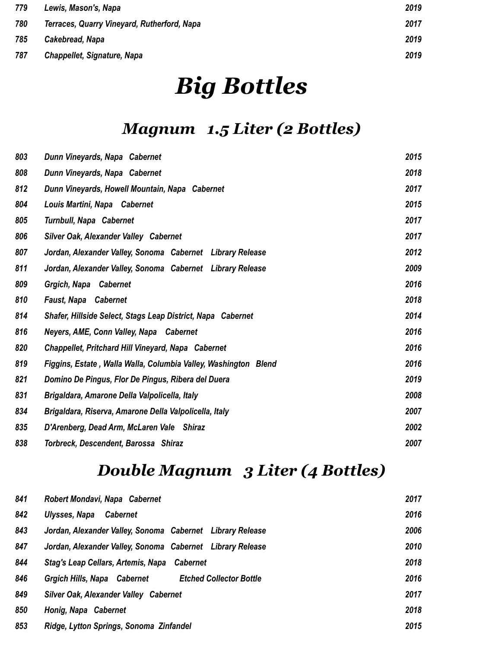| 779 | Lewis, Mason's, Napa                        | 2019 |
|-----|---------------------------------------------|------|
| 780 | Terraces, Quarry Vineyard, Rutherford, Napa | 2017 |
| 785 | Cakebread, Napa                             | 2019 |
| 787 | <b>Chappellet, Signature, Napa</b>          | 2019 |

# *Big Bottles*

## *Magnum 1.5 Liter (2 Bottles)*

| 803 | Dunn Vineyards, Napa Cabernet                                   | 2015 |
|-----|-----------------------------------------------------------------|------|
| 808 | Dunn Vineyards, Napa Cabernet                                   | 2018 |
| 812 | Dunn Vineyards, Howell Mountain, Napa Cabernet                  | 2017 |
| 804 | Louis Martini, Napa Cabernet                                    | 2015 |
| 805 | <b>Turnbull, Napa Cabernet</b>                                  | 2017 |
| 806 | Silver Oak, Alexander Valley Cabernet                           | 2017 |
| 807 | Jordan, Alexander Valley, Sonoma Cabernet Library Release       | 2012 |
| 811 | Jordan, Alexander Valley, Sonoma Cabernet Library Release       | 2009 |
| 809 | Grgich, Napa Cabernet                                           | 2016 |
| 810 | <b>Faust, Napa Cabernet</b>                                     | 2018 |
| 814 | Shafer, Hillside Select, Stags Leap District, Napa Cabernet     | 2014 |
| 816 | Neyers, AME, Conn Valley, Napa Cabernet                         | 2016 |
| 820 | Chappellet, Pritchard Hill Vineyard, Napa Cabernet              | 2016 |
| 819 | Figgins, Estate, Walla Walla, Columbia Valley, Washington Blend | 2016 |
| 821 | Domino De Pingus, Flor De Pingus, Ribera del Duera              | 2019 |
| 831 | Brigaldara, Amarone Della Valpolicella, Italy                   | 2008 |
| 834 | Brigaldara, Riserva, Amarone Della Valpolicella, Italy          | 2007 |
| 835 | D'Arenberg, Dead Arm, McLaren Vale Shiraz                       | 2002 |
| 838 | Torbreck, Descendent, Barossa Shiraz                            | 2007 |

## *Double Magnum 3 Liter (4 Bottles)*

| 841 | Robert Mondavi, Napa Cabernet                                 | 2017 |
|-----|---------------------------------------------------------------|------|
| 842 | Ulysses, Napa<br><b>Cabernet</b>                              | 2016 |
| 843 | Jordan, Alexander Valley, Sonoma Cabernet Library Release     | 2006 |
| 847 | Jordan, Alexander Valley, Sonoma Cabernet Library Release     | 2010 |
| 844 | Stag's Leap Cellars, Artemis, Napa Cabernet                   | 2018 |
| 846 | Grgich Hills, Napa Cabernet<br><b>Etched Collector Bottle</b> | 2016 |
| 849 | Silver Oak, Alexander Valley Cabernet                         | 2017 |
| 850 | Honig, Napa Cabernet                                          | 2018 |
| 853 | Ridge, Lytton Springs, Sonoma Zinfandel                       | 2015 |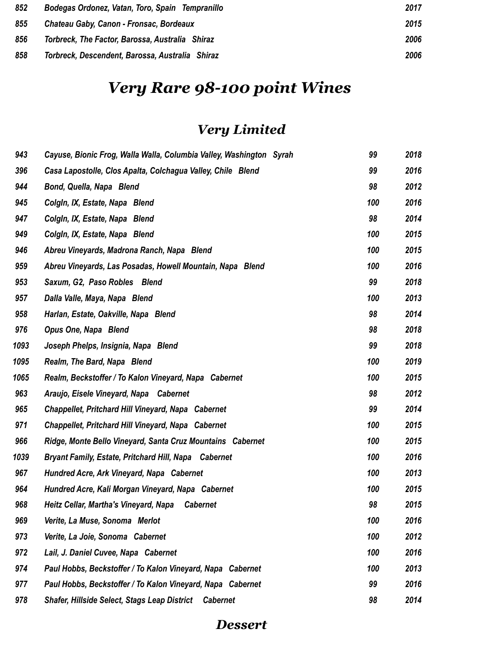| 852 | Bodegas Ordonez, Vatan, Toro, Spain Tempranillo | 2017 |
|-----|-------------------------------------------------|------|
| 855 | Chateau Gaby, Canon - Fronsac, Bordeaux         | 2015 |
| 856 | Torbreck, The Factor, Barossa, Australia Shiraz | 2006 |
| 858 | Torbreck, Descendent, Barossa, Australia Shiraz | 2006 |

## *Very Rare 98-100 point Wines*

## *Very Limited*

| 943  | Cayuse, Bionic Frog, Walla Walla, Columbia Valley, Washington Syrah    | 99  | 2018 |
|------|------------------------------------------------------------------------|-----|------|
| 396  | Casa Lapostolle, Clos Apalta, Colchagua Valley, Chile Blend            | 99  | 2016 |
| 944  | Bond, Quella, Napa Blend                                               | 98  | 2012 |
| 945  | Colgin, IX, Estate, Napa Blend                                         | 100 | 2016 |
| 947  | Colgin, IX, Estate, Napa Blend                                         | 98  | 2014 |
| 949  | Colgin, IX, Estate, Napa Blend                                         | 100 | 2015 |
| 946  | Abreu Vineyards, Madrona Ranch, Napa Blend                             | 100 | 2015 |
| 959  | Abreu Vineyards, Las Posadas, Howell Mountain, Napa Blend              | 100 | 2016 |
| 953  | Saxum, G2, Paso Robles Blend                                           | 99  | 2018 |
| 957  | Dalla Valle, Maya, Napa Blend                                          | 100 | 2013 |
| 958  | Harlan, Estate, Oakville, Napa Blend                                   | 98  | 2014 |
| 976  | Opus One, Napa Blend                                                   | 98  | 2018 |
| 1093 | Joseph Phelps, Insignia, Napa Blend                                    | 99  | 2018 |
| 1095 | Realm, The Bard, Napa Blend                                            | 100 | 2019 |
| 1065 | Realm, Beckstoffer / To Kalon Vineyard, Napa Cabernet                  | 100 | 2015 |
| 963  | Araujo, Eisele Vineyard, Napa Cabernet                                 | 98  | 2012 |
| 965  | Chappellet, Pritchard Hill Vineyard, Napa Cabernet                     | 99  | 2014 |
| 971  | <b>Chappellet, Pritchard Hill Vineyard, Napa Cabernet</b>              | 100 | 2015 |
| 966  | Ridge, Monte Bello Vineyard, Santa Cruz Mountains Cabernet             | 100 | 2015 |
| 1039 | <b>Bryant Family, Estate, Pritchard Hill, Napa Cabernet</b>            | 100 | 2016 |
| 967  | Hundred Acre, Ark Vineyard, Napa Cabernet                              | 100 | 2013 |
| 964  | Hundred Acre, Kali Morgan Vineyard, Napa Cabernet                      | 100 | 2015 |
| 968  | Heitz Cellar, Martha's Vineyard, Napa<br><b>Cabernet</b>               | 98  | 2015 |
| 969  | Verite, La Muse, Sonoma Merlot                                         | 100 | 2016 |
| 973  | Verite, La Joie, Sonoma Cabernet                                       | 100 | 2012 |
| 972  | Lail, J. Daniel Cuvee, Napa Cabernet                                   | 100 | 2016 |
| 974  | Paul Hobbs, Beckstoffer / To Kalon Vineyard, Napa Cabernet             | 100 | 2013 |
| 977  | Paul Hobbs, Beckstoffer / To Kalon Vineyard, Napa Cabernet             | 99  | 2016 |
| 978  | <b>Shafer, Hillside Select, Stags Leap District</b><br><b>Cabernet</b> | 98  | 2014 |

#### *Dessert*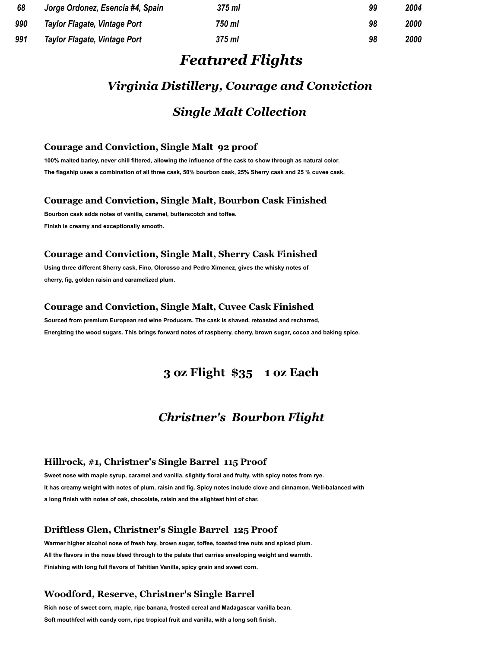| 68  | Jorge Ordonez, Esencia #4, Spain | 375 ml   | 99 | 2004 |
|-----|----------------------------------|----------|----|------|
| 990 | Taylor Flagate, Vintage Port     | 750 ml   | 98 | 2000 |
| 991 | Taylor Flagate, Vintage Port     | $375$ ml | 98 | 2000 |

#### *Featured Flights*

### *Virginia Distillery, Courage and Conviction*

#### *Single Malt Collection*

#### **Courage and Conviction, Single Malt 92 proof**

**100% malted barley, never chill filtered, allowing the influence of the cask to show through as natural color. The flagship uses a combination of all three cask, 50% bourbon cask, 25% Sherry cask and 25 % cuvee cask.**

#### **Courage and Conviction, Single Malt, Bourbon Cask Finished**

**Bourbon cask adds notes of vanilla, caramel, butterscotch and toffee. Finish is creamy and exceptionally smooth.**

#### **Courage and Conviction, Single Malt, Sherry Cask Finished**

**Using three different Sherry cask, Fino, Olorosso and Pedro Ximenez, gives the whisky notes of cherry, fig, golden raisin and caramelized plum.**

#### **Courage and Conviction, Single Malt, Cuvee Cask Finished**

**Sourced from premium European red wine Producers. The cask is shaved, retoasted and recharred, Energizing the wood sugars. This brings forward notes of raspberry, cherry, brown sugar, cocoa and baking spice.**

#### **3 oz Flight \$35 1 oz Each**

#### *Christner's Bourbon Flight*

#### **Hillrock, #1, Christner's Single Barrel 115 Proof**

**Sweet nose with maple syrup, caramel and vanilla, slightly floral and fruity, with spicy notes from rye. It has creamy weight with notes of plum, raisin and fig. Spicy notes include clove and cinnamon. Well-balanced with a long finish with notes of oak, chocolate, raisin and the slightest hint of char.**

#### **Driftless Glen, Christner's Single Barrel 125 Proof**

**Warmer higher alcohol nose of fresh hay, brown sugar, toffee, toasted tree nuts and spiced plum. All the flavors in the nose bleed through to the palate that carries enveloping weight and warmth. Finishing with long full flavors of Tahitian Vanilla, spicy grain and sweet corn.**

#### **Woodford, Reserve, Christner's Single Barrel**

**Rich nose of sweet corn, maple, ripe banana, frosted cereal and Madagascar vanilla bean. Soft mouthfeel with candy corn, ripe tropical fruit and vanilla, with a long soft finish.**